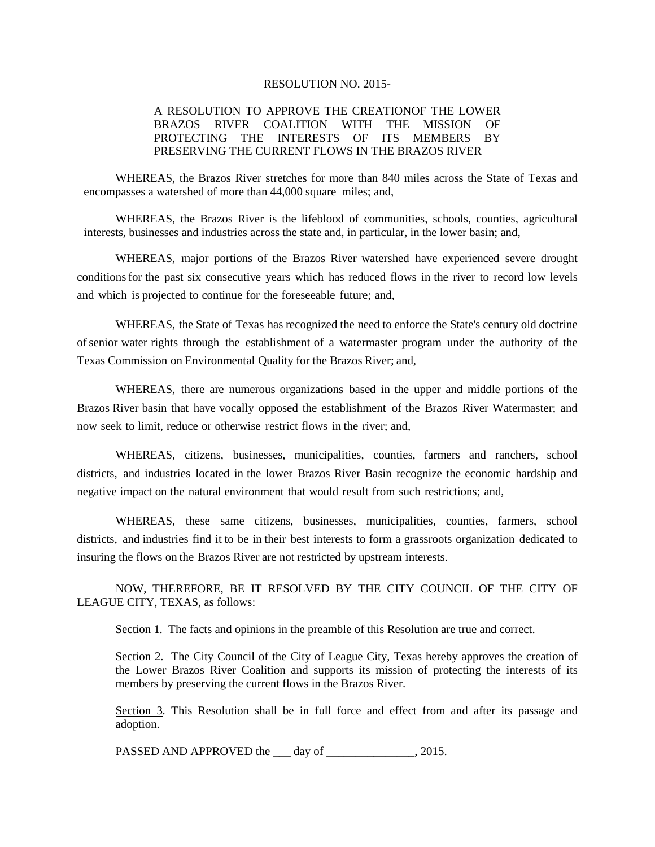## RESOLUTION NO. 2015-

## A RESOLUTION TO APPROVE THE CREATIONOF THE LOWER BRAZOS RIVER COALITION WITH THE MISSION OF PROTECTING THE INTERESTS OF ITS MEMBERS BY PRESERVING THE CURRENT FLOWS IN THE BRAZOS RIVER

WHEREAS, the Brazos River stretches for more than 840 miles across the State of Texas and encompasses a watershed of more than 44,000 square miles; and,

WHEREAS, the Brazos River is the lifeblood of communities, schools, counties, agricultural interests, businesses and industries across the state and, in particular, in the lower basin; and,

WHEREAS, major portions of the Brazos River watershed have experienced severe drought conditionsfor the past six consecutive years which has reduced flows in the river to record low levels and which is projected to continue for the foreseeable future; and,

WHEREAS, the State of Texas has recognized the need to enforce the State's century old doctrine ofsenior water rights through the establishment of a watermaster program under the authority of the Texas Commission on Environmental Quality for the Brazos River; and,

WHEREAS, there are numerous organizations based in the upper and middle portions of the Brazos River basin that have vocally opposed the establishment of the Brazos River Watermaster; and now seek to limit, reduce or otherwise restrict flows in the river; and,

WHEREAS, citizens, businesses, municipalities, counties, farmers and ranchers, school districts, and industries located in the lower Brazos River Basin recognize the economic hardship and negative impact on the natural environment that would result from such restrictions; and,

WHEREAS, these same citizens, businesses, municipalities, counties, farmers, school districts, and industries find it to be in their best interests to form a grassroots organization dedicated to insuring the flows on the Brazos River are not restricted by upstream interests.

NOW, THEREFORE, BE IT RESOLVED BY THE CITY COUNCIL OF THE CITY OF LEAGUE CITY, TEXAS, as follows:

Section 1. The facts and opinions in the preamble of this Resolution are true and correct.

Section 2. The City Council of the City of League City, Texas hereby approves the creation of the Lower Brazos River Coalition and supports its mission of protecting the interests of its members by preserving the current flows in the Brazos River.

Section 3. This Resolution shall be in full force and effect from and after its passage and adoption.

PASSED AND APPROVED the \_\_\_ day of \_\_\_\_\_\_\_\_\_\_\_\_\_\_, 2015.